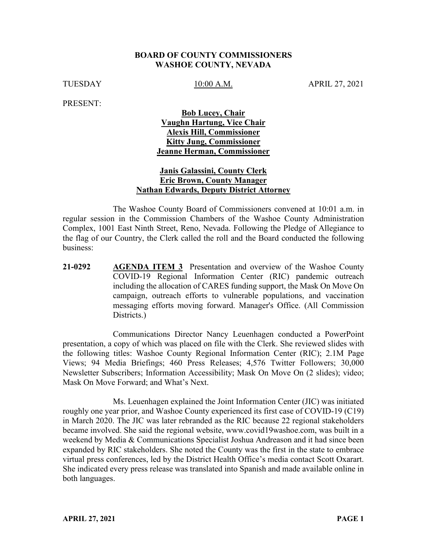#### **BOARD OF COUNTY COMMISSIONERS WASHOE COUNTY, NEVADA**

TUESDAY 10:00 A.M. APRIL 27, 2021

PRESENT:

## **Bob Lucey, Chair Vaughn Hartung, Vice Chair Alexis Hill, Commissioner Kitty Jung, Commissioner Jeanne Herman, Commissioner**

#### **Janis Galassini, County Clerk Eric Brown, County Manager Nathan Edwards, Deputy District Attorney**

The Washoe County Board of Commissioners convened at 10:01 a.m. in regular session in the Commission Chambers of the Washoe County Administration Complex, 1001 East Ninth Street, Reno, Nevada. Following the Pledge of Allegiance to the flag of our Country, the Clerk called the roll and the Board conducted the following business:

**21-0292 AGENDA ITEM 3** Presentation and overview of the Washoe County COVID-19 Regional Information Center (RIC) pandemic outreach including the allocation of CARES funding support, the Mask On Move On campaign, outreach efforts to vulnerable populations, and vaccination messaging efforts moving forward. Manager's Office. (All Commission Districts.)

Communications Director Nancy Leuenhagen conducted a PowerPoint presentation, a copy of which was placed on file with the Clerk. She reviewed slides with the following titles: Washoe County Regional Information Center (RIC); 2.1M Page Views; 94 Media Briefings; 460 Press Releases; 4,576 Twitter Followers; 30,000 Newsletter Subscribers; Information Accessibility; Mask On Move On (2 slides); video; Mask On Move Forward; and What's Next.

Ms. Leuenhagen explained the Joint Information Center (JIC) was initiated roughly one year prior, and Washoe County experienced its first case of COVID-19 (C19) in March 2020. The JIC was later rebranded as the RIC because 22 regional stakeholders became involved. She said the regional website, www.covid19washoe.com, was built in a weekend by Media & Communications Specialist Joshua Andreason and it had since been expanded by RIC stakeholders. She noted the County was the first in the state to embrace virtual press conferences, led by the District Health Office's media contact Scott Oxarart. She indicated every press release was translated into Spanish and made available online in both languages.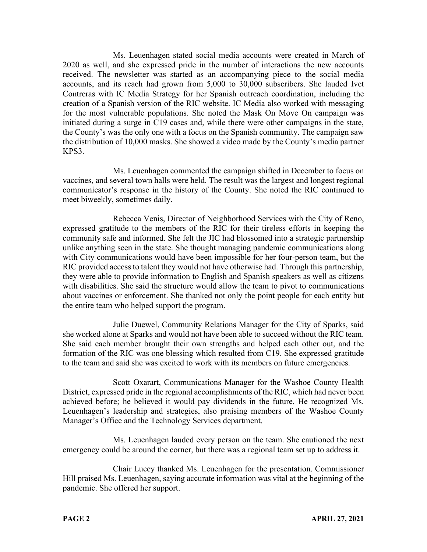Ms. Leuenhagen stated social media accounts were created in March of 2020 as well, and she expressed pride in the number of interactions the new accounts received. The newsletter was started as an accompanying piece to the social media accounts, and its reach had grown from 5,000 to 30,000 subscribers. She lauded Ivet Contreras with IC Media Strategy for her Spanish outreach coordination, including the creation of a Spanish version of the RIC website. IC Media also worked with messaging for the most vulnerable populations. She noted the Mask On Move On campaign was initiated during a surge in C19 cases and, while there were other campaigns in the state, the County's was the only one with a focus on the Spanish community. The campaign saw the distribution of 10,000 masks. She showed a video made by the County's media partner KPS3.

Ms. Leuenhagen commented the campaign shifted in December to focus on vaccines, and several town halls were held. The result was the largest and longest regional communicator's response in the history of the County. She noted the RIC continued to meet biweekly, sometimes daily.

Rebecca Venis, Director of Neighborhood Services with the City of Reno, expressed gratitude to the members of the RIC for their tireless efforts in keeping the community safe and informed. She felt the JIC had blossomed into a strategic partnership unlike anything seen in the state. She thought managing pandemic communications along with City communications would have been impossible for her four-person team, but the RIC provided access to talent they would not have otherwise had. Through this partnership, they were able to provide information to English and Spanish speakers as well as citizens with disabilities. She said the structure would allow the team to pivot to communications about vaccines or enforcement. She thanked not only the point people for each entity but the entire team who helped support the program.

Julie Duewel, Community Relations Manager for the City of Sparks, said she worked alone at Sparks and would not have been able to succeed without the RIC team. She said each member brought their own strengths and helped each other out, and the formation of the RIC was one blessing which resulted from C19. She expressed gratitude to the team and said she was excited to work with its members on future emergencies.

Scott Oxarart, Communications Manager for the Washoe County Health District, expressed pride in the regional accomplishments of the RIC, which had never been achieved before; he believed it would pay dividends in the future. He recognized Ms. Leuenhagen's leadership and strategies, also praising members of the Washoe County Manager's Office and the Technology Services department.

Ms. Leuenhagen lauded every person on the team. She cautioned the next emergency could be around the corner, but there was a regional team set up to address it.

Chair Lucey thanked Ms. Leuenhagen for the presentation. Commissioner Hill praised Ms. Leuenhagen, saying accurate information was vital at the beginning of the pandemic. She offered her support.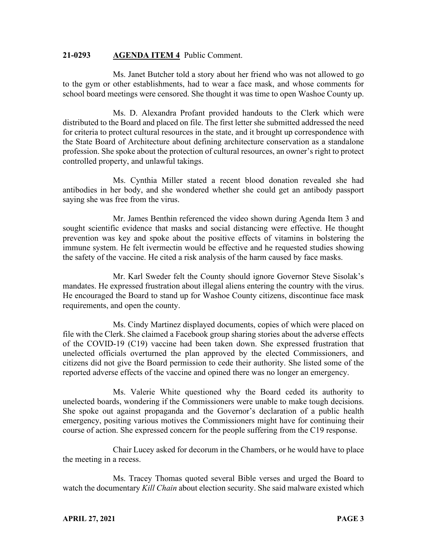#### **21-0293 AGENDA ITEM 4** Public Comment.

Ms. Janet Butcher told a story about her friend who was not allowed to go to the gym or other establishments, had to wear a face mask, and whose comments for school board meetings were censored. She thought it was time to open Washoe County up.

Ms. D. Alexandra Profant provided handouts to the Clerk which were distributed to the Board and placed on file. The first letter she submitted addressed the need for criteria to protect cultural resources in the state, and it brought up correspondence with the State Board of Architecture about defining architecture conservation as a standalone profession. She spoke about the protection of cultural resources, an owner's right to protect controlled property, and unlawful takings.

Ms. Cynthia Miller stated a recent blood donation revealed she had antibodies in her body, and she wondered whether she could get an antibody passport saying she was free from the virus.

Mr. James Benthin referenced the video shown during Agenda Item 3 and sought scientific evidence that masks and social distancing were effective. He thought prevention was key and spoke about the positive effects of vitamins in bolstering the immune system. He felt ivermectin would be effective and he requested studies showing the safety of the vaccine. He cited a risk analysis of the harm caused by face masks.

Mr. Karl Sweder felt the County should ignore Governor Steve Sisolak's mandates. He expressed frustration about illegal aliens entering the country with the virus. He encouraged the Board to stand up for Washoe County citizens, discontinue face mask requirements, and open the county.

Ms. Cindy Martinez displayed documents, copies of which were placed on file with the Clerk. She claimed a Facebook group sharing stories about the adverse effects of the COVID-19 (C19) vaccine had been taken down. She expressed frustration that unelected officials overturned the plan approved by the elected Commissioners, and citizens did not give the Board permission to cede their authority. She listed some of the reported adverse effects of the vaccine and opined there was no longer an emergency.

Ms. Valerie White questioned why the Board ceded its authority to unelected boards, wondering if the Commissioners were unable to make tough decisions. She spoke out against propaganda and the Governor's declaration of a public health emergency, positing various motives the Commissioners might have for continuing their course of action. She expressed concern for the people suffering from the C19 response.

Chair Lucey asked for decorum in the Chambers, or he would have to place the meeting in a recess.

Ms. Tracey Thomas quoted several Bible verses and urged the Board to watch the documentary *Kill Chain* about election security. She said malware existed which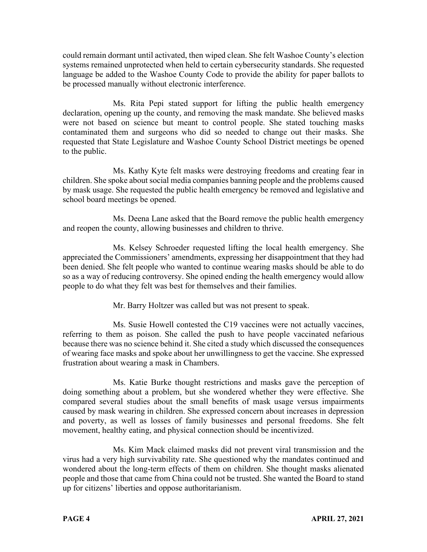could remain dormant until activated, then wiped clean. She felt Washoe County's election systems remained unprotected when held to certain cybersecurity standards. She requested language be added to the Washoe County Code to provide the ability for paper ballots to be processed manually without electronic interference.

Ms. Rita Pepi stated support for lifting the public health emergency declaration, opening up the county, and removing the mask mandate. She believed masks were not based on science but meant to control people. She stated touching masks contaminated them and surgeons who did so needed to change out their masks. She requested that State Legislature and Washoe County School District meetings be opened to the public.

Ms. Kathy Kyte felt masks were destroying freedoms and creating fear in children. She spoke about social media companies banning people and the problems caused by mask usage. She requested the public health emergency be removed and legislative and school board meetings be opened.

Ms. Deena Lane asked that the Board remove the public health emergency and reopen the county, allowing businesses and children to thrive.

Ms. Kelsey Schroeder requested lifting the local health emergency. She appreciated the Commissioners' amendments, expressing her disappointment that they had been denied. She felt people who wanted to continue wearing masks should be able to do so as a way of reducing controversy. She opined ending the health emergency would allow people to do what they felt was best for themselves and their families.

Mr. Barry Holtzer was called but was not present to speak.

Ms. Susie Howell contested the C19 vaccines were not actually vaccines, referring to them as poison. She called the push to have people vaccinated nefarious because there was no science behind it. She cited a study which discussed the consequences of wearing face masks and spoke about her unwillingness to get the vaccine. She expressed frustration about wearing a mask in Chambers.

Ms. Katie Burke thought restrictions and masks gave the perception of doing something about a problem, but she wondered whether they were effective. She compared several studies about the small benefits of mask usage versus impairments caused by mask wearing in children. She expressed concern about increases in depression and poverty, as well as losses of family businesses and personal freedoms. She felt movement, healthy eating, and physical connection should be incentivized.

Ms. Kim Mack claimed masks did not prevent viral transmission and the virus had a very high survivability rate. She questioned why the mandates continued and wondered about the long-term effects of them on children. She thought masks alienated people and those that came from China could not be trusted. She wanted the Board to stand up for citizens' liberties and oppose authoritarianism.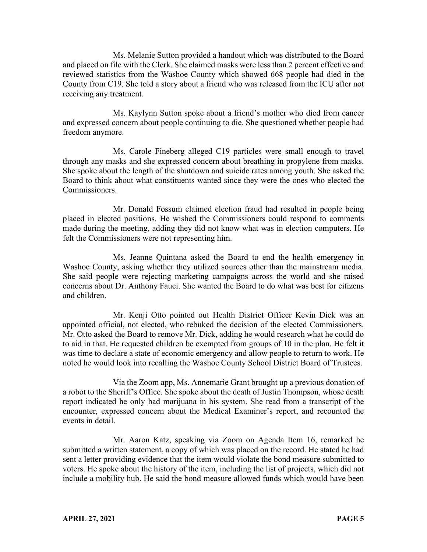Ms. Melanie Sutton provided a handout which was distributed to the Board and placed on file with the Clerk. She claimed masks were less than 2 percent effective and reviewed statistics from the Washoe County which showed 668 people had died in the County from C19. She told a story about a friend who was released from the ICU after not receiving any treatment.

Ms. Kaylynn Sutton spoke about a friend's mother who died from cancer and expressed concern about people continuing to die. She questioned whether people had freedom anymore.

Ms. Carole Fineberg alleged C19 particles were small enough to travel through any masks and she expressed concern about breathing in propylene from masks. She spoke about the length of the shutdown and suicide rates among youth. She asked the Board to think about what constituents wanted since they were the ones who elected the Commissioners.

Mr. Donald Fossum claimed election fraud had resulted in people being placed in elected positions. He wished the Commissioners could respond to comments made during the meeting, adding they did not know what was in election computers. He felt the Commissioners were not representing him.

Ms. Jeanne Quintana asked the Board to end the health emergency in Washoe County, asking whether they utilized sources other than the mainstream media. She said people were rejecting marketing campaigns across the world and she raised concerns about Dr. Anthony Fauci. She wanted the Board to do what was best for citizens and children.

Mr. Kenji Otto pointed out Health District Officer Kevin Dick was an appointed official, not elected, who rebuked the decision of the elected Commissioners. Mr. Otto asked the Board to remove Mr. Dick, adding he would research what he could do to aid in that. He requested children be exempted from groups of 10 in the plan. He felt it was time to declare a state of economic emergency and allow people to return to work. He noted he would look into recalling the Washoe County School District Board of Trustees.

Via the Zoom app, Ms. Annemarie Grant brought up a previous donation of a robot to the Sheriff's Office. She spoke about the death of Justin Thompson, whose death report indicated he only had marijuana in his system. She read from a transcript of the encounter, expressed concern about the Medical Examiner's report, and recounted the events in detail.

Mr. Aaron Katz, speaking via Zoom on Agenda Item 16, remarked he submitted a written statement, a copy of which was placed on the record. He stated he had sent a letter providing evidence that the item would violate the bond measure submitted to voters. He spoke about the history of the item, including the list of projects, which did not include a mobility hub. He said the bond measure allowed funds which would have been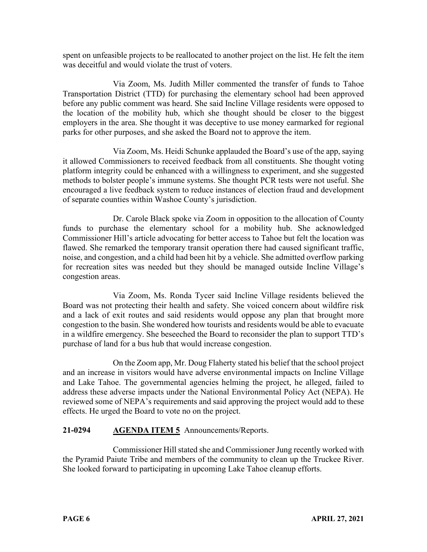spent on unfeasible projects to be reallocated to another project on the list. He felt the item was deceitful and would violate the trust of voters.

Via Zoom, Ms. Judith Miller commented the transfer of funds to Tahoe Transportation District (TTD) for purchasing the elementary school had been approved before any public comment was heard. She said Incline Village residents were opposed to the location of the mobility hub, which she thought should be closer to the biggest employers in the area. She thought it was deceptive to use money earmarked for regional parks for other purposes, and she asked the Board not to approve the item.

Via Zoom, Ms. Heidi Schunke applauded the Board's use of the app, saying it allowed Commissioners to received feedback from all constituents. She thought voting platform integrity could be enhanced with a willingness to experiment, and she suggested methods to bolster people's immune systems. She thought PCR tests were not useful. She encouraged a live feedback system to reduce instances of election fraud and development of separate counties within Washoe County's jurisdiction.

Dr. Carole Black spoke via Zoom in opposition to the allocation of County funds to purchase the elementary school for a mobility hub. She acknowledged Commissioner Hill's article advocating for better access to Tahoe but felt the location was flawed. She remarked the temporary transit operation there had caused significant traffic, noise, and congestion, and a child had been hit by a vehicle. She admitted overflow parking for recreation sites was needed but they should be managed outside Incline Village's congestion areas.

Via Zoom, Ms. Ronda Tycer said Incline Village residents believed the Board was not protecting their health and safety. She voiced concern about wildfire risk and a lack of exit routes and said residents would oppose any plan that brought more congestion to the basin. She wondered how tourists and residents would be able to evacuate in a wildfire emergency. She beseeched the Board to reconsider the plan to support TTD's purchase of land for a bus hub that would increase congestion.

On the Zoom app, Mr. Doug Flaherty stated his belief that the school project and an increase in visitors would have adverse environmental impacts on Incline Village and Lake Tahoe. The governmental agencies helming the project, he alleged, failed to address these adverse impacts under the National Environmental Policy Act (NEPA). He reviewed some of NEPA's requirements and said approving the project would add to these effects. He urged the Board to vote no on the project.

# **21-0294 AGENDA ITEM 5** Announcements/Reports.

Commissioner Hill stated she and Commissioner Jung recently worked with the Pyramid Paiute Tribe and members of the community to clean up the Truckee River. She looked forward to participating in upcoming Lake Tahoe cleanup efforts.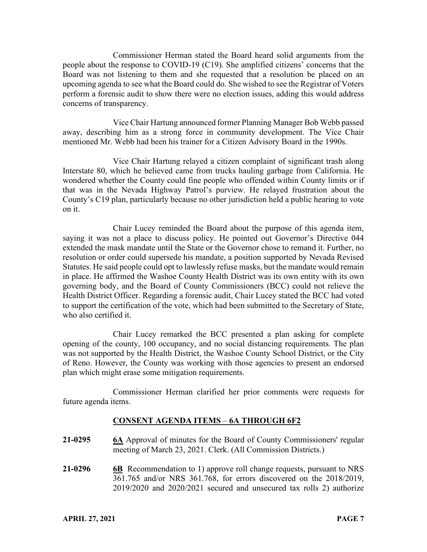Commissioner Herman stated the Board heard solid arguments from the people about the response to COVID-19 (C19). She amplified citizens' concerns that the Board was not listening to them and she requested that a resolution be placed on an upcoming agenda to see what the Board could do. She wished to see the Registrar of Voters perform a forensic audit to show there were no election issues, adding this would address concerns of transparency.

Vice Chair Hartung announced former Planning Manager Bob Webb passed away, describing him as a strong force in community development. The Vice Chair mentioned Mr. Webb had been his trainer for a Citizen Advisory Board in the 1990s.

Vice Chair Hartung relayed a citizen complaint of significant trash along Interstate 80, which he believed came from trucks hauling garbage from California. He wondered whether the County could fine people who offended within County limits or if that was in the Nevada Highway Patrol's purview. He relayed frustration about the County's C19 plan, particularly because no other jurisdiction held a public hearing to vote on it.

Chair Lucey reminded the Board about the purpose of this agenda item, saying it was not a place to discuss policy. He pointed out Governor's Directive 044 extended the mask mandate until the State or the Governor chose to remand it. Further, no resolution or order could supersede his mandate, a position supported by Nevada Revised Statutes. He said people could opt to lawlessly refuse masks, but the mandate would remain in place. He affirmed the Washoe County Health District was its own entity with its own governing body, and the Board of County Commissioners (BCC) could not relieve the Health District Officer. Regarding a forensic audit, Chair Lucey stated the BCC had voted to support the certification of the vote, which had been submitted to the Secretary of State, who also certified it.

Chair Lucey remarked the BCC presented a plan asking for complete opening of the county, 100 occupancy, and no social distancing requirements. The plan was not supported by the Health District, the Washoe County School District, or the City of Reno. However, the County was working with those agencies to present an endorsed plan which might erase some mitigation requirements.

Commissioner Herman clarified her prior comments were requests for future agenda items.

# **CONSENT AGENDA ITEMS** – **6A THROUGH 6F2**

- **21-0295 6A** Approval of minutes for the Board of County Commissioners' regular meeting of March 23, 2021. Clerk. (All Commission Districts.)
- **21-0296 6B** Recommendation to 1) approve roll change requests, pursuant to NRS 361.765 and/or NRS 361.768, for errors discovered on the 2018/2019, 2019/2020 and 2020/2021 secured and unsecured tax rolls 2) authorize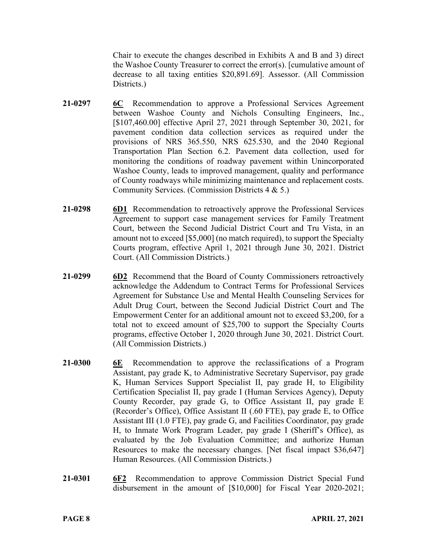Chair to execute the changes described in Exhibits A and B and 3) direct the Washoe County Treasurer to correct the error(s). [cumulative amount of decrease to all taxing entities \$20,891.69]. Assessor. (All Commission Districts.)

- **21-0297 6C** Recommendation to approve a Professional Services Agreement between Washoe County and Nichols Consulting Engineers, Inc., [\$107,460.00] effective April 27, 2021 through September 30, 2021, for pavement condition data collection services as required under the provisions of NRS 365.550, NRS 625.530, and the 2040 Regional Transportation Plan Section 6.2. Pavement data collection, used for monitoring the conditions of roadway pavement within Unincorporated Washoe County, leads to improved management, quality and performance of County roadways while minimizing maintenance and replacement costs. Community Services. (Commission Districts 4 & 5.)
- **21-0298 6D1** Recommendation to retroactively approve the Professional Services Agreement to support case management services for Family Treatment Court, between the Second Judicial District Court and Tru Vista, in an amount not to exceed [\$5,000] (no match required), to support the Specialty Courts program, effective April 1, 2021 through June 30, 2021. District Court. (All Commission Districts.)
- **21-0299 6D2** Recommend that the Board of County Commissioners retroactively acknowledge the Addendum to Contract Terms for Professional Services Agreement for Substance Use and Mental Health Counseling Services for Adult Drug Court, between the Second Judicial District Court and The Empowerment Center for an additional amount not to exceed \$3,200, for a total not to exceed amount of \$25,700 to support the Specialty Courts programs, effective October 1, 2020 through June 30, 2021. District Court. (All Commission Districts.)
- **21-0300 6E** Recommendation to approve the reclassifications of a Program Assistant, pay grade K, to Administrative Secretary Supervisor, pay grade K, Human Services Support Specialist II, pay grade H, to Eligibility Certification Specialist II, pay grade I (Human Services Agency), Deputy County Recorder, pay grade G, to Office Assistant II, pay grade E (Recorder's Office), Office Assistant II (.60 FTE), pay grade E, to Office Assistant III (1.0 FTE), pay grade G, and Facilities Coordinator, pay grade H, to Inmate Work Program Leader, pay grade I (Sheriff's Office), as evaluated by the Job Evaluation Committee; and authorize Human Resources to make the necessary changes. [Net fiscal impact \$36,647] Human Resources. (All Commission Districts.)
- **21-0301 6F2** Recommendation to approve Commission District Special Fund disbursement in the amount of [\$10,000] for Fiscal Year 2020-2021;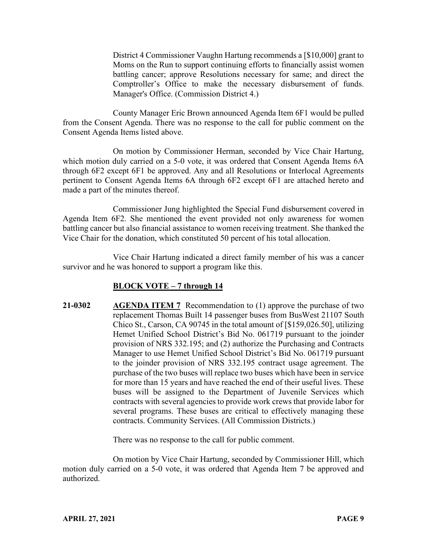District 4 Commissioner Vaughn Hartung recommends a [\$10,000] grant to Moms on the Run to support continuing efforts to financially assist women battling cancer; approve Resolutions necessary for same; and direct the Comptroller's Office to make the necessary disbursement of funds. Manager's Office. (Commission District 4.)

County Manager Eric Brown announced Agenda Item 6F1 would be pulled from the Consent Agenda. There was no response to the call for public comment on the Consent Agenda Items listed above.

On motion by Commissioner Herman, seconded by Vice Chair Hartung, which motion duly carried on a 5-0 vote, it was ordered that Consent Agenda Items 6A through 6F2 except 6F1 be approved. Any and all Resolutions or Interlocal Agreements pertinent to Consent Agenda Items 6A through 6F2 except 6F1 are attached hereto and made a part of the minutes thereof.

Commissioner Jung highlighted the Special Fund disbursement covered in Agenda Item 6F2. She mentioned the event provided not only awareness for women battling cancer but also financial assistance to women receiving treatment. She thanked the Vice Chair for the donation, which constituted 50 percent of his total allocation.

Vice Chair Hartung indicated a direct family member of his was a cancer survivor and he was honored to support a program like this.

# **BLOCK VOTE – 7 through 14**

**21-0302 AGENDA ITEM 7** Recommendation to (1) approve the purchase of two replacement Thomas Built 14 passenger buses from BusWest 21107 South Chico St., Carson, CA 90745 in the total amount of [\$159,026.50], utilizing Hemet Unified School District's Bid No. 061719 pursuant to the joinder provision of NRS 332.195; and (2) authorize the Purchasing and Contracts Manager to use Hemet Unified School District's Bid No. 061719 pursuant to the joinder provision of NRS 332.195 contract usage agreement. The purchase of the two buses will replace two buses which have been in service for more than 15 years and have reached the end of their useful lives. These buses will be assigned to the Department of Juvenile Services which contracts with several agencies to provide work crews that provide labor for several programs. These buses are critical to effectively managing these contracts. Community Services. (All Commission Districts.)

There was no response to the call for public comment.

On motion by Vice Chair Hartung, seconded by Commissioner Hill, which motion duly carried on a 5-0 vote, it was ordered that Agenda Item 7 be approved and authorized.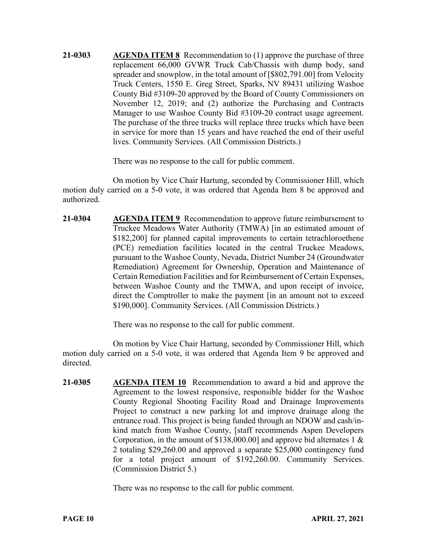**21-0303 AGENDA ITEM 8** Recommendation to (1) approve the purchase of three replacement 66,000 GVWR Truck Cab/Chassis with dump body, sand spreader and snowplow, in the total amount of [\$802,791.00] from Velocity Truck Centers, 1550 E. Greg Street, Sparks, NV 89431 utilizing Washoe County Bid #3109-20 approved by the Board of County Commissioners on November 12, 2019; and (2) authorize the Purchasing and Contracts Manager to use Washoe County Bid #3109-20 contract usage agreement. The purchase of the three trucks will replace three trucks which have been in service for more than 15 years and have reached the end of their useful lives. Community Services. (All Commission Districts.)

There was no response to the call for public comment.

On motion by Vice Chair Hartung, seconded by Commissioner Hill, which motion duly carried on a 5-0 vote, it was ordered that Agenda Item 8 be approved and authorized.

**21-0304 AGENDA ITEM 9** Recommendation to approve future reimbursement to Truckee Meadows Water Authority (TMWA) [in an estimated amount of \$182,200] for planned capital improvements to certain tetrachloroethene (PCE) remediation facilities located in the central Truckee Meadows, pursuant to the Washoe County, Nevada, District Number 24 (Groundwater Remediation) Agreement for Ownership, Operation and Maintenance of Certain Remediation Facilities and for Reimbursement of Certain Expenses, between Washoe County and the TMWA, and upon receipt of invoice, direct the Comptroller to make the payment [in an amount not to exceed \$190,000]. Community Services. (All Commission Districts.)

There was no response to the call for public comment.

On motion by Vice Chair Hartung, seconded by Commissioner Hill, which motion duly carried on a 5-0 vote, it was ordered that Agenda Item 9 be approved and directed.

**21-0305 AGENDA ITEM 10** Recommendation to award a bid and approve the Agreement to the lowest responsive, responsible bidder for the Washoe County Regional Shooting Facility Road and Drainage Improvements Project to construct a new parking lot and improve drainage along the entrance road. This project is being funded through an NDOW and cash/inkind match from Washoe County, [staff recommends Aspen Developers Corporation, in the amount of \$138,000.00] and approve bid alternates 1 & 2 totaling \$29,260.00 and approved a separate \$25,000 contingency fund for a total project amount of \$192,260.00. Community Services. (Commission District 5.)

There was no response to the call for public comment.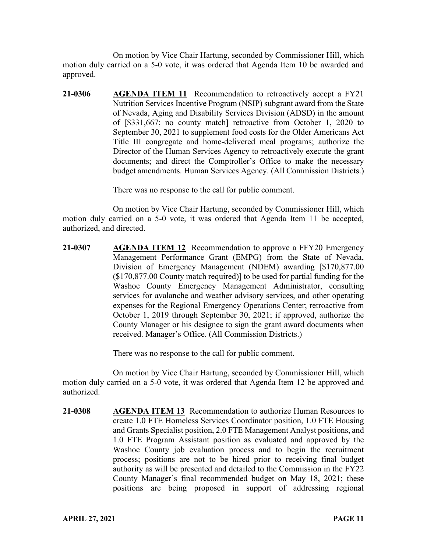On motion by Vice Chair Hartung, seconded by Commissioner Hill, which motion duly carried on a 5-0 vote, it was ordered that Agenda Item 10 be awarded and approved.

**21-0306 AGENDA ITEM 11** Recommendation to retroactively accept a FY21 Nutrition Services Incentive Program (NSIP) subgrant award from the State of Nevada, Aging and Disability Services Division (ADSD) in the amount of [\$331,667; no county match] retroactive from October 1, 2020 to September 30, 2021 to supplement food costs for the Older Americans Act Title III congregate and home-delivered meal programs; authorize the Director of the Human Services Agency to retroactively execute the grant documents; and direct the Comptroller's Office to make the necessary budget amendments. Human Services Agency. (All Commission Districts.)

There was no response to the call for public comment.

On motion by Vice Chair Hartung, seconded by Commissioner Hill, which motion duly carried on a 5-0 vote, it was ordered that Agenda Item 11 be accepted, authorized, and directed.

**21-0307 AGENDA ITEM 12** Recommendation to approve a FFY20 Emergency Management Performance Grant (EMPG) from the State of Nevada, Division of Emergency Management (NDEM) awarding [\$170,877.00 (\$170,877.00 County match required)] to be used for partial funding for the Washoe County Emergency Management Administrator, consulting services for avalanche and weather advisory services, and other operating expenses for the Regional Emergency Operations Center; retroactive from October 1, 2019 through September 30, 2021; if approved, authorize the County Manager or his designee to sign the grant award documents when received. Manager's Office. (All Commission Districts.)

There was no response to the call for public comment.

On motion by Vice Chair Hartung, seconded by Commissioner Hill, which motion duly carried on a 5-0 vote, it was ordered that Agenda Item 12 be approved and authorized.

**21-0308 AGENDA ITEM 13** Recommendation to authorize Human Resources to create 1.0 FTE Homeless Services Coordinator position, 1.0 FTE Housing and Grants Specialist position, 2.0 FTE Management Analyst positions, and 1.0 FTE Program Assistant position as evaluated and approved by the Washoe County job evaluation process and to begin the recruitment process; positions are not to be hired prior to receiving final budget authority as will be presented and detailed to the Commission in the FY22 County Manager's final recommended budget on May 18, 2021; these positions are being proposed in support of addressing regional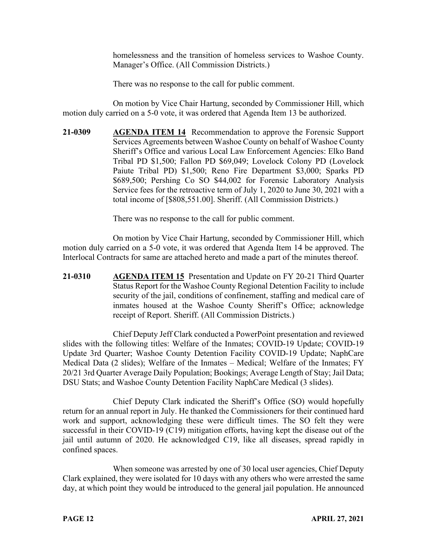homelessness and the transition of homeless services to Washoe County. Manager's Office. (All Commission Districts.)

There was no response to the call for public comment.

On motion by Vice Chair Hartung, seconded by Commissioner Hill, which motion duly carried on a 5-0 vote, it was ordered that Agenda Item 13 be authorized.

**21-0309 AGENDA ITEM 14** Recommendation to approve the Forensic Support Services Agreements between Washoe County on behalf of Washoe County Sheriff's Office and various Local Law Enforcement Agencies: Elko Band Tribal PD \$1,500; Fallon PD \$69,049; Lovelock Colony PD (Lovelock Paiute Tribal PD) \$1,500; Reno Fire Department \$3,000; Sparks PD \$689,500; Pershing Co SO \$44,002 for Forensic Laboratory Analysis Service fees for the retroactive term of July 1, 2020 to June 30, 2021 with a total income of [\$808,551.00]. Sheriff. (All Commission Districts.)

There was no response to the call for public comment.

On motion by Vice Chair Hartung, seconded by Commissioner Hill, which motion duly carried on a 5-0 vote, it was ordered that Agenda Item 14 be approved. The Interlocal Contracts for same are attached hereto and made a part of the minutes thereof.

**21-0310 AGENDA ITEM 15** Presentation and Update on FY 20-21 Third Quarter Status Report for the Washoe County Regional Detention Facility to include security of the jail, conditions of confinement, staffing and medical care of inmates housed at the Washoe County Sheriff's Office; acknowledge receipt of Report. Sheriff. (All Commission Districts.)

Chief Deputy Jeff Clark conducted a PowerPoint presentation and reviewed slides with the following titles: Welfare of the Inmates; COVID-19 Update; COVID-19 Update 3rd Quarter; Washoe County Detention Facility COVID-19 Update; NaphCare Medical Data (2 slides); Welfare of the Inmates – Medical; Welfare of the Inmates; FY 20/21 3rd Quarter Average Daily Population; Bookings; Average Length of Stay; Jail Data; DSU Stats; and Washoe County Detention Facility NaphCare Medical (3 slides).

Chief Deputy Clark indicated the Sheriff's Office (SO) would hopefully return for an annual report in July. He thanked the Commissioners for their continued hard work and support, acknowledging these were difficult times. The SO felt they were successful in their COVID-19 (C19) mitigation efforts, having kept the disease out of the jail until autumn of 2020. He acknowledged C19, like all diseases, spread rapidly in confined spaces.

When someone was arrested by one of 30 local user agencies, Chief Deputy Clark explained, they were isolated for 10 days with any others who were arrested the same day, at which point they would be introduced to the general jail population. He announced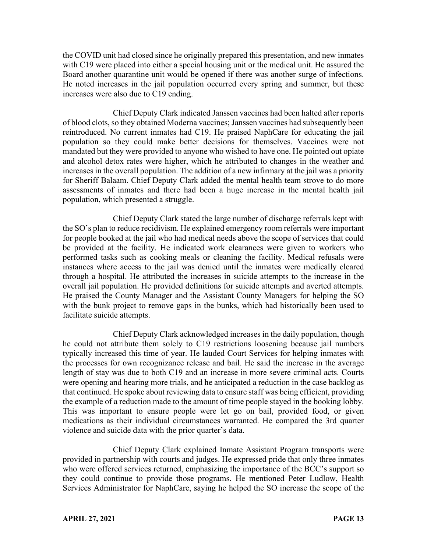the COVID unit had closed since he originally prepared this presentation, and new inmates with C19 were placed into either a special housing unit or the medical unit. He assured the Board another quarantine unit would be opened if there was another surge of infections. He noted increases in the jail population occurred every spring and summer, but these increases were also due to C19 ending.

Chief Deputy Clark indicated Janssen vaccines had been halted after reports of blood clots, so they obtained Moderna vaccines; Janssen vaccines had subsequently been reintroduced. No current inmates had C19. He praised NaphCare for educating the jail population so they could make better decisions for themselves. Vaccines were not mandated but they were provided to anyone who wished to have one. He pointed out opiate and alcohol detox rates were higher, which he attributed to changes in the weather and increases in the overall population. The addition of a new infirmary at the jail was a priority for Sheriff Balaam. Chief Deputy Clark added the mental health team strove to do more assessments of inmates and there had been a huge increase in the mental health jail population, which presented a struggle.

Chief Deputy Clark stated the large number of discharge referrals kept with the SO's plan to reduce recidivism. He explained emergency room referrals were important for people booked at the jail who had medical needs above the scope of services that could be provided at the facility. He indicated work clearances were given to workers who performed tasks such as cooking meals or cleaning the facility. Medical refusals were instances where access to the jail was denied until the inmates were medically cleared through a hospital. He attributed the increases in suicide attempts to the increase in the overall jail population. He provided definitions for suicide attempts and averted attempts. He praised the County Manager and the Assistant County Managers for helping the SO with the bunk project to remove gaps in the bunks, which had historically been used to facilitate suicide attempts.

Chief Deputy Clark acknowledged increases in the daily population, though he could not attribute them solely to C19 restrictions loosening because jail numbers typically increased this time of year. He lauded Court Services for helping inmates with the processes for own recognizance release and bail. He said the increase in the average length of stay was due to both C19 and an increase in more severe criminal acts. Courts were opening and hearing more trials, and he anticipated a reduction in the case backlog as that continued. He spoke about reviewing data to ensure staff was being efficient, providing the example of a reduction made to the amount of time people stayed in the booking lobby. This was important to ensure people were let go on bail, provided food, or given medications as their individual circumstances warranted. He compared the 3rd quarter violence and suicide data with the prior quarter's data.

Chief Deputy Clark explained Inmate Assistant Program transports were provided in partnership with courts and judges. He expressed pride that only three inmates who were offered services returned, emphasizing the importance of the BCC's support so they could continue to provide those programs. He mentioned Peter Ludlow, Health Services Administrator for NaphCare, saying he helped the SO increase the scope of the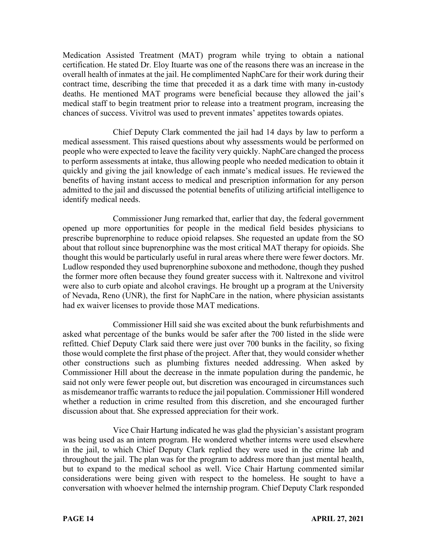Medication Assisted Treatment (MAT) program while trying to obtain a national certification. He stated Dr. Eloy Ituarte was one of the reasons there was an increase in the overall health of inmates at the jail. He complimented NaphCare for their work during their contract time, describing the time that preceded it as a dark time with many in-custody deaths. He mentioned MAT programs were beneficial because they allowed the jail's medical staff to begin treatment prior to release into a treatment program, increasing the chances of success. Vivitrol was used to prevent inmates' appetites towards opiates.

Chief Deputy Clark commented the jail had 14 days by law to perform a medical assessment. This raised questions about why assessments would be performed on people who were expected to leave the facility very quickly. NaphCare changed the process to perform assessments at intake, thus allowing people who needed medication to obtain it quickly and giving the jail knowledge of each inmate's medical issues. He reviewed the benefits of having instant access to medical and prescription information for any person admitted to the jail and discussed the potential benefits of utilizing artificial intelligence to identify medical needs.

Commissioner Jung remarked that, earlier that day, the federal government opened up more opportunities for people in the medical field besides physicians to prescribe buprenorphine to reduce opioid relapses. She requested an update from the SO about that rollout since buprenorphine was the most critical MAT therapy for opioids. She thought this would be particularly useful in rural areas where there were fewer doctors. Mr. Ludlow responded they used buprenorphine suboxone and methodone, though they pushed the former more often because they found greater success with it. Naltrexone and vivitrol were also to curb opiate and alcohol cravings. He brought up a program at the University of Nevada, Reno (UNR), the first for NaphCare in the nation, where physician assistants had ex waiver licenses to provide those MAT medications.

Commissioner Hill said she was excited about the bunk refurbishments and asked what percentage of the bunks would be safer after the 700 listed in the slide were refitted. Chief Deputy Clark said there were just over 700 bunks in the facility, so fixing those would complete the first phase of the project. After that, they would consider whether other constructions such as plumbing fixtures needed addressing. When asked by Commissioner Hill about the decrease in the inmate population during the pandemic, he said not only were fewer people out, but discretion was encouraged in circumstances such as misdemeanor traffic warrants to reduce the jail population. Commissioner Hill wondered whether a reduction in crime resulted from this discretion, and she encouraged further discussion about that. She expressed appreciation for their work.

Vice Chair Hartung indicated he was glad the physician's assistant program was being used as an intern program. He wondered whether interns were used elsewhere in the jail, to which Chief Deputy Clark replied they were used in the crime lab and throughout the jail. The plan was for the program to address more than just mental health, but to expand to the medical school as well. Vice Chair Hartung commented similar considerations were being given with respect to the homeless. He sought to have a conversation with whoever helmed the internship program. Chief Deputy Clark responded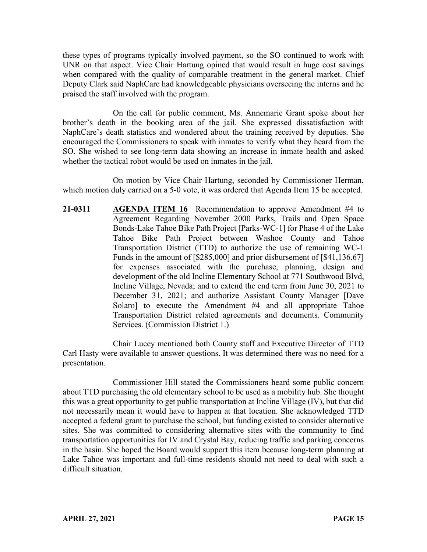these types of programs typically involved payment, so the SO continued to work with UNR on that aspect. Vice Chair Hartung opined that would result in huge cost savings when compared with the quality of comparable treatment in the general market. Chief Deputy Clark said NaphCare had knowledgeable physicians overseeing the interns and he praised the staff involved with the program.

On the call for public comment, Ms. Annemarie Grant spoke about her brother's death in the booking area of the jail. She expressed dissatisfaction with NaphCare's death statistics and wondered about the training received by deputies. She encouraged the Commissioners to speak with inmates to verify what they heard from the SO. She wished to see long-term data showing an increase in inmate health and asked whether the tactical robot would be used on inmates in the jail.

On motion by Vice Chair Hartung, seconded by Commissioner Herman, which motion duly carried on a 5-0 vote, it was ordered that Agenda Item 15 be accepted.

**21-0311 AGENDA ITEM 16** Recommendation to approve Amendment #4 to Agreement Regarding November 2000 Parks, Trails and Open Space Bonds-Lake Tahoe Bike Path Project [Parks-WC-1] for Phase 4 of the Lake Tahoe Bike Path Project between Washoe County and Tahoe Transportation District (TTD) to authorize the use of remaining WC-1 Funds in the amount of [\$285,000] and prior disbursement of [\$41,136.67] for expenses associated with the purchase, planning, design and development of the old Incline Elementary School at 771 Southwood Blvd, Incline Village, Nevada; and to extend the end term from June 30, 2021 to December 31, 2021; and authorize Assistant County Manager [Dave Solaro] to execute the Amendment #4 and all appropriate Tahoe Transportation District related agreements and documents. Community Services. (Commission District 1.)

Chair Lucey mentioned both County staff and Executive Director of TTD Carl Hasty were available to answer questions. It was determined there was no need for a presentation.

Commissioner Hill stated the Commissioners heard some public concern about TTD purchasing the old elementary school to be used as a mobility hub. She thought this was a great opportunity to get public transportation at Incline Village (IV), but that did not necessarily mean it would have to happen at that location. She acknowledged TTD accepted a federal grant to purchase the school, but funding existed to consider alternative sites. She was committed to considering alternative sites with the community to find transportation opportunities for IV and Crystal Bay, reducing traffic and parking concerns in the basin. She hoped the Board would support this item because long-term planning at Lake Tahoe was important and full-time residents should not need to deal with such a difficult situation.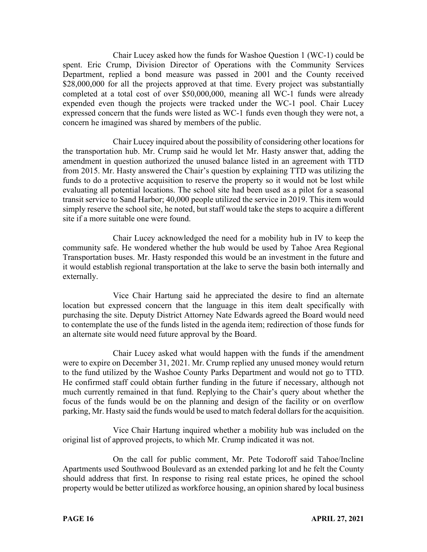Chair Lucey asked how the funds for Washoe Question 1 (WC-1) could be spent. Eric Crump, Division Director of Operations with the Community Services Department, replied a bond measure was passed in 2001 and the County received \$28,000,000 for all the projects approved at that time. Every project was substantially completed at a total cost of over \$50,000,000, meaning all WC-1 funds were already expended even though the projects were tracked under the WC-1 pool. Chair Lucey expressed concern that the funds were listed as WC-1 funds even though they were not, a concern he imagined was shared by members of the public.

Chair Lucey inquired about the possibility of considering other locations for the transportation hub. Mr. Crump said he would let Mr. Hasty answer that, adding the amendment in question authorized the unused balance listed in an agreement with TTD from 2015. Mr. Hasty answered the Chair's question by explaining TTD was utilizing the funds to do a protective acquisition to reserve the property so it would not be lost while evaluating all potential locations. The school site had been used as a pilot for a seasonal transit service to Sand Harbor; 40,000 people utilized the service in 2019. This item would simply reserve the school site, he noted, but staff would take the steps to acquire a different site if a more suitable one were found.

Chair Lucey acknowledged the need for a mobility hub in IV to keep the community safe. He wondered whether the hub would be used by Tahoe Area Regional Transportation buses. Mr. Hasty responded this would be an investment in the future and it would establish regional transportation at the lake to serve the basin both internally and externally.

Vice Chair Hartung said he appreciated the desire to find an alternate location but expressed concern that the language in this item dealt specifically with purchasing the site. Deputy District Attorney Nate Edwards agreed the Board would need to contemplate the use of the funds listed in the agenda item; redirection of those funds for an alternate site would need future approval by the Board.

Chair Lucey asked what would happen with the funds if the amendment were to expire on December 31, 2021. Mr. Crump replied any unused money would return to the fund utilized by the Washoe County Parks Department and would not go to TTD. He confirmed staff could obtain further funding in the future if necessary, although not much currently remained in that fund. Replying to the Chair's query about whether the focus of the funds would be on the planning and design of the facility or on overflow parking, Mr. Hasty said the funds would be used to match federal dollars for the acquisition.

Vice Chair Hartung inquired whether a mobility hub was included on the original list of approved projects, to which Mr. Crump indicated it was not.

On the call for public comment, Mr. Pete Todoroff said Tahoe/Incline Apartments used Southwood Boulevard as an extended parking lot and he felt the County should address that first. In response to rising real estate prices, he opined the school property would be better utilized as workforce housing, an opinion shared by local business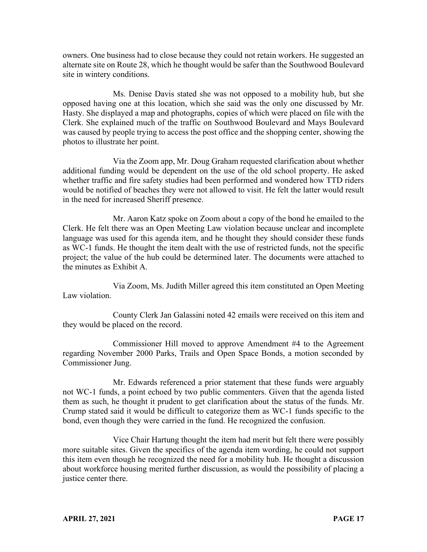owners. One business had to close because they could not retain workers. He suggested an alternate site on Route 28, which he thought would be safer than the Southwood Boulevard site in wintery conditions.

Ms. Denise Davis stated she was not opposed to a mobility hub, but she opposed having one at this location, which she said was the only one discussed by Mr. Hasty. She displayed a map and photographs, copies of which were placed on file with the Clerk. She explained much of the traffic on Southwood Boulevard and Mays Boulevard was caused by people trying to access the post office and the shopping center, showing the photos to illustrate her point.

Via the Zoom app, Mr. Doug Graham requested clarification about whether additional funding would be dependent on the use of the old school property. He asked whether traffic and fire safety studies had been performed and wondered how TTD riders would be notified of beaches they were not allowed to visit. He felt the latter would result in the need for increased Sheriff presence.

Mr. Aaron Katz spoke on Zoom about a copy of the bond he emailed to the Clerk. He felt there was an Open Meeting Law violation because unclear and incomplete language was used for this agenda item, and he thought they should consider these funds as WC-1 funds. He thought the item dealt with the use of restricted funds, not the specific project; the value of the hub could be determined later. The documents were attached to the minutes as Exhibit A.

Via Zoom, Ms. Judith Miller agreed this item constituted an Open Meeting Law violation.

County Clerk Jan Galassini noted 42 emails were received on this item and they would be placed on the record.

Commissioner Hill moved to approve Amendment #4 to the Agreement regarding November 2000 Parks, Trails and Open Space Bonds, a motion seconded by Commissioner Jung.

Mr. Edwards referenced a prior statement that these funds were arguably not WC-1 funds, a point echoed by two public commenters. Given that the agenda listed them as such, he thought it prudent to get clarification about the status of the funds. Mr. Crump stated said it would be difficult to categorize them as WC-1 funds specific to the bond, even though they were carried in the fund. He recognized the confusion.

Vice Chair Hartung thought the item had merit but felt there were possibly more suitable sites. Given the specifics of the agenda item wording, he could not support this item even though he recognized the need for a mobility hub. He thought a discussion about workforce housing merited further discussion, as would the possibility of placing a justice center there.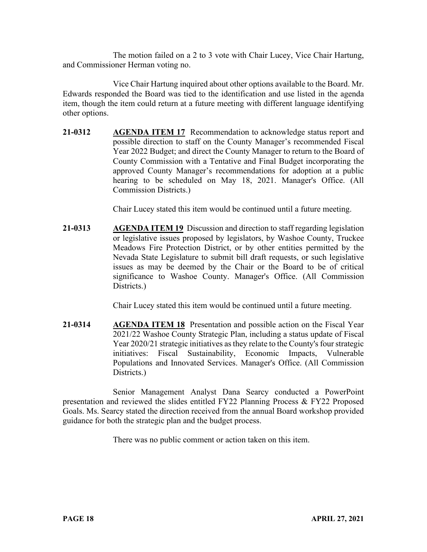The motion failed on a 2 to 3 vote with Chair Lucey, Vice Chair Hartung, and Commissioner Herman voting no.

Vice Chair Hartung inquired about other options available to the Board. Mr. Edwards responded the Board was tied to the identification and use listed in the agenda item, though the item could return at a future meeting with different language identifying other options.

**21-0312 AGENDA ITEM 17** Recommendation to acknowledge status report and possible direction to staff on the County Manager's recommended Fiscal Year 2022 Budget; and direct the County Manager to return to the Board of County Commission with a Tentative and Final Budget incorporating the approved County Manager's recommendations for adoption at a public hearing to be scheduled on May 18, 2021. Manager's Office. (All Commission Districts.)

Chair Lucey stated this item would be continued until a future meeting.

**21-0313 AGENDA ITEM 19** Discussion and direction to staff regarding legislation or legislative issues proposed by legislators, by Washoe County, Truckee Meadows Fire Protection District, or by other entities permitted by the Nevada State Legislature to submit bill draft requests, or such legislative issues as may be deemed by the Chair or the Board to be of critical significance to Washoe County. Manager's Office. (All Commission Districts.)

Chair Lucey stated this item would be continued until a future meeting.

**21-0314 AGENDA ITEM 18** Presentation and possible action on the Fiscal Year 2021/22 Washoe County Strategic Plan, including a status update of Fiscal Year 2020/21 strategic initiatives as they relate to the County's four strategic initiatives: Fiscal Sustainability, Economic Impacts, Vulnerable Populations and Innovated Services. Manager's Office. (All Commission Districts.)

Senior Management Analyst Dana Searcy conducted a PowerPoint presentation and reviewed the slides entitled FY22 Planning Process & FY22 Proposed Goals. Ms. Searcy stated the direction received from the annual Board workshop provided guidance for both the strategic plan and the budget process.

There was no public comment or action taken on this item.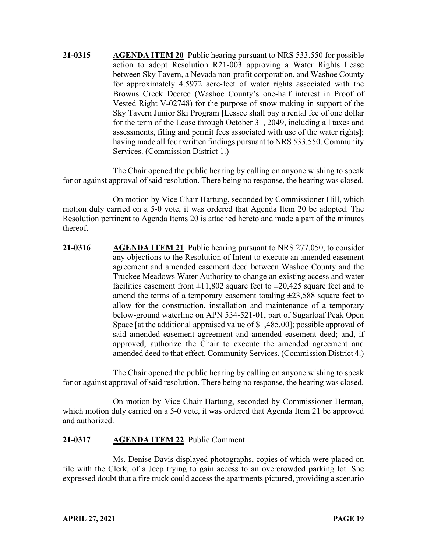**21-0315 AGENDA ITEM 20** Public hearing pursuant to NRS 533.550 for possible action to adopt Resolution R21-003 approving a Water Rights Lease between Sky Tavern, a Nevada non-profit corporation, and Washoe County for approximately 4.5972 acre-feet of water rights associated with the Browns Creek Decree (Washoe County's one-half interest in Proof of Vested Right V-02748) for the purpose of snow making in support of the Sky Tavern Junior Ski Program [Lessee shall pay a rental fee of one dollar for the term of the Lease through October 31, 2049, including all taxes and assessments, filing and permit fees associated with use of the water rights]; having made all four written findings pursuant to NRS 533.550. Community Services. (Commission District 1.)

The Chair opened the public hearing by calling on anyone wishing to speak for or against approval of said resolution. There being no response, the hearing was closed.

On motion by Vice Chair Hartung, seconded by Commissioner Hill, which motion duly carried on a 5-0 vote, it was ordered that Agenda Item 20 be adopted. The Resolution pertinent to Agenda Items 20 is attached hereto and made a part of the minutes thereof.

**21-0316 AGENDA ITEM 21** Public hearing pursuant to NRS 277.050, to consider any objections to the Resolution of Intent to execute an amended easement agreement and amended easement deed between Washoe County and the Truckee Meadows Water Authority to change an existing access and water facilities easement from  $\pm 11,802$  square feet to  $\pm 20,425$  square feet and to amend the terms of a temporary easement totaling  $\pm 23,588$  square feet to allow for the construction, installation and maintenance of a temporary below-ground waterline on APN 534-521-01, part of Sugarloaf Peak Open Space [at the additional appraised value of \$1,485.00]; possible approval of said amended easement agreement and amended easement deed; and, if approved, authorize the Chair to execute the amended agreement and amended deed to that effect. Community Services. (Commission District 4.)

The Chair opened the public hearing by calling on anyone wishing to speak for or against approval of said resolution. There being no response, the hearing was closed.

On motion by Vice Chair Hartung, seconded by Commissioner Herman, which motion duly carried on a 5-0 vote, it was ordered that Agenda Item 21 be approved and authorized.

### **21-0317 AGENDA ITEM 22** Public Comment.

Ms. Denise Davis displayed photographs, copies of which were placed on file with the Clerk, of a Jeep trying to gain access to an overcrowded parking lot. She expressed doubt that a fire truck could access the apartments pictured, providing a scenario